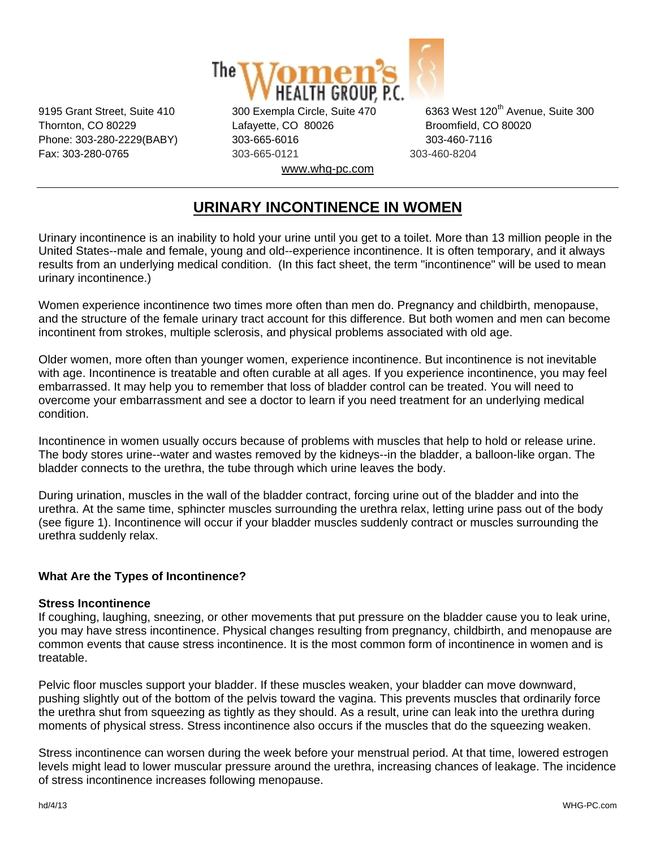

Thornton, CO 80229 Lafayette, CO 80026 Broomfield, CO 80020 Phone: 303-280-2229(BABY) 303-665-6016 303-460-7116 Fax: 303-280-0765 303-665-0121 303-460-8204

9195 Grant Street, Suite 410 300 Exempla Circle, Suite 470 6363 West 120<sup>th</sup> Avenue, Suite 300

# www.whg-pc.com

# **URINARY INCONTINENCE IN WOMEN**

Urinary incontinence is an inability to hold your urine until you get to a toilet. More than 13 million people in the United States--male and female, young and old--experience incontinence. It is often temporary, and it always results from an underlying medical condition. (In this fact sheet, the term "incontinence" will be used to mean urinary incontinence.)

Women experience incontinence two times more often than men do. Pregnancy and childbirth, menopause, and the structure of the female urinary tract account for this difference. But both women and men can become incontinent from strokes, multiple sclerosis, and physical problems associated with old age.

Older women, more often than younger women, experience incontinence. But incontinence is not inevitable with age. Incontinence is treatable and often curable at all ages. If you experience incontinence, you may feel embarrassed. It may help you to remember that loss of bladder control can be treated. You will need to overcome your embarrassment and see a doctor to learn if you need treatment for an underlying medical condition.

Incontinence in women usually occurs because of problems with muscles that help to hold or release urine. The body stores urine--water and wastes removed by the kidneys--in the bladder, a balloon-like organ. The bladder connects to the urethra, the tube through which urine leaves the body.

During urination, muscles in the wall of the bladder contract, forcing urine out of the bladder and into the urethra. At the same time, sphincter muscles surrounding the urethra relax, letting urine pass out of the body (see figure 1). Incontinence will occur if your bladder muscles suddenly contract or muscles surrounding the urethra suddenly relax.

# **What Are the Types of Incontinence?**

#### **Stress Incontinence**

If coughing, laughing, sneezing, or other movements that put pressure on the bladder cause you to leak urine, you may have stress incontinence. Physical changes resulting from pregnancy, childbirth, and menopause are common events that cause stress incontinence. It is the most common form of incontinence in women and is treatable.

Pelvic floor muscles support your bladder. If these muscles weaken, your bladder can move downward, pushing slightly out of the bottom of the pelvis toward the vagina. This prevents muscles that ordinarily force the urethra shut from squeezing as tightly as they should. As a result, urine can leak into the urethra during moments of physical stress. Stress incontinence also occurs if the muscles that do the squeezing weaken.

Stress incontinence can worsen during the week before your menstrual period. At that time, lowered estrogen levels might lead to lower muscular pressure around the urethra, increasing chances of leakage. The incidence of stress incontinence increases following menopause.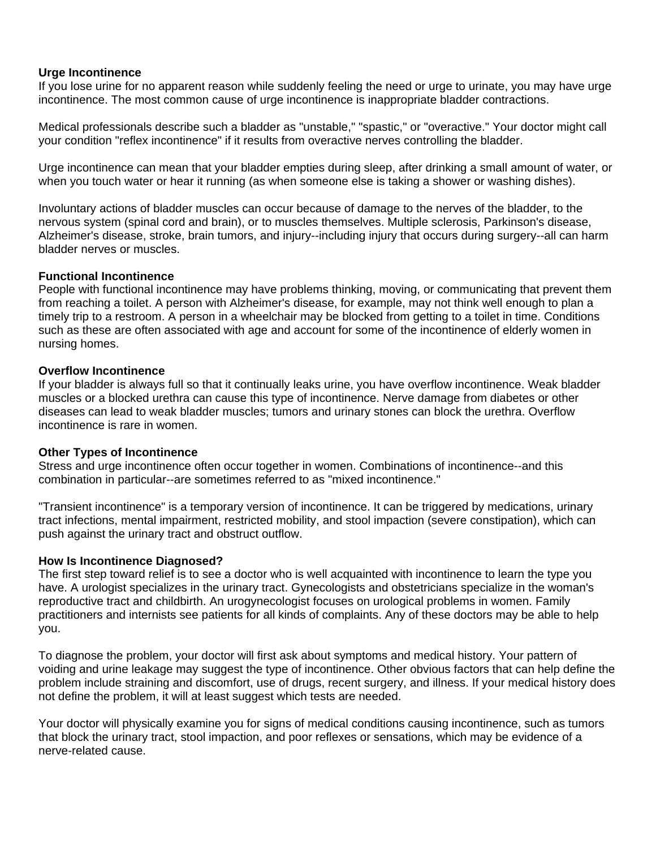#### **Urge Incontinence**

If you lose urine for no apparent reason while suddenly feeling the need or urge to urinate, you may have urge incontinence. The most common cause of urge incontinence is inappropriate bladder contractions.

Medical professionals describe such a bladder as "unstable," "spastic," or "overactive." Your doctor might call your condition "reflex incontinence" if it results from overactive nerves controlling the bladder.

Urge incontinence can mean that your bladder empties during sleep, after drinking a small amount of water, or when you touch water or hear it running (as when someone else is taking a shower or washing dishes).

Involuntary actions of bladder muscles can occur because of damage to the nerves of the bladder, to the nervous system (spinal cord and brain), or to muscles themselves. Multiple sclerosis, Parkinson's disease, Alzheimer's disease, stroke, brain tumors, and injury--including injury that occurs during surgery--all can harm bladder nerves or muscles.

## **Functional Incontinence**

People with functional incontinence may have problems thinking, moving, or communicating that prevent them from reaching a toilet. A person with Alzheimer's disease, for example, may not think well enough to plan a timely trip to a restroom. A person in a wheelchair may be blocked from getting to a toilet in time. Conditions such as these are often associated with age and account for some of the incontinence of elderly women in nursing homes.

#### **Overflow Incontinence**

If your bladder is always full so that it continually leaks urine, you have overflow incontinence. Weak bladder muscles or a blocked urethra can cause this type of incontinence. Nerve damage from diabetes or other diseases can lead to weak bladder muscles; tumors and urinary stones can block the urethra. Overflow incontinence is rare in women.

#### **Other Types of Incontinence**

Stress and urge incontinence often occur together in women. Combinations of incontinence--and this combination in particular--are sometimes referred to as "mixed incontinence."

"Transient incontinence" is a temporary version of incontinence. It can be triggered by medications, urinary tract infections, mental impairment, restricted mobility, and stool impaction (severe constipation), which can push against the urinary tract and obstruct outflow.

#### **How Is Incontinence Diagnosed?**

The first step toward relief is to see a doctor who is well acquainted with incontinence to learn the type you have. A urologist specializes in the urinary tract. Gynecologists and obstetricians specialize in the woman's reproductive tract and childbirth. An urogynecologist focuses on urological problems in women. Family practitioners and internists see patients for all kinds of complaints. Any of these doctors may be able to help you.

To diagnose the problem, your doctor will first ask about symptoms and medical history. Your pattern of voiding and urine leakage may suggest the type of incontinence. Other obvious factors that can help define the problem include straining and discomfort, use of drugs, recent surgery, and illness. If your medical history does not define the problem, it will at least suggest which tests are needed.

Your doctor will physically examine you for signs of medical conditions causing incontinence, such as tumors that block the urinary tract, stool impaction, and poor reflexes or sensations, which may be evidence of a nerve-related cause.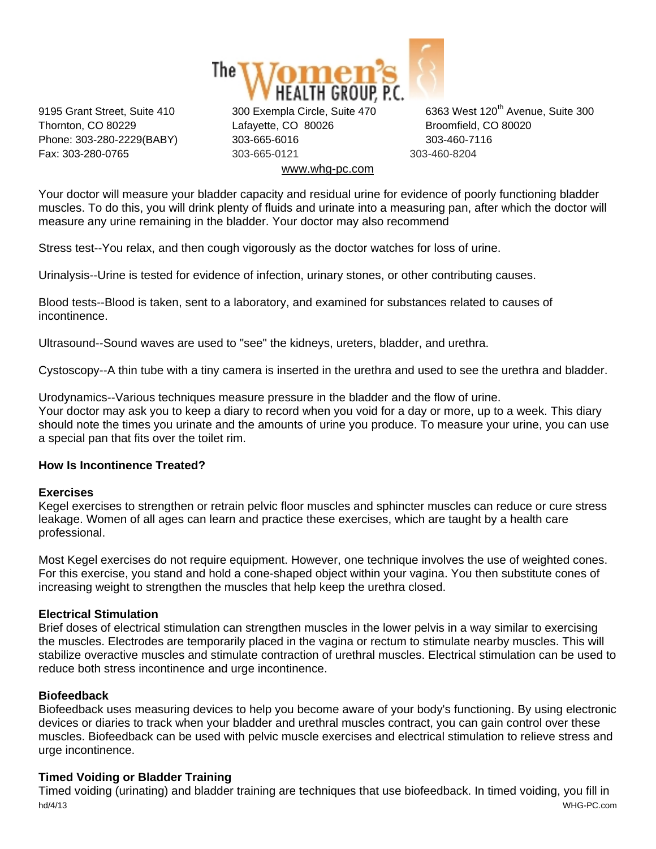

Thornton, CO 80229 Lafayette, CO 80026 Broomfield, CO 80020 Phone: 303-280-2229(BABY) 303-665-6016 303-460-7116 Fax: 303-280-0765 303-665-0121 303-460-8204 www.whg-pc.com

9195 Grant Street, Suite 410 300 Exempla Circle, Suite 470 6363 West 120<sup>th</sup> Avenue, Suite 300

Your doctor will measure your bladder capacity and residual urine for evidence of poorly functioning bladder muscles. To do this, you will drink plenty of fluids and urinate into a measuring pan, after which the doctor will measure any urine remaining in the bladder. Your doctor may also recommend

Stress test--You relax, and then cough vigorously as the doctor watches for loss of urine.

Urinalysis--Urine is tested for evidence of infection, urinary stones, or other contributing causes.

Blood tests--Blood is taken, sent to a laboratory, and examined for substances related to causes of incontinence.

Ultrasound--Sound waves are used to "see" the kidneys, ureters, bladder, and urethra.

Cystoscopy--A thin tube with a tiny camera is inserted in the urethra and used to see the urethra and bladder.

Urodynamics--Various techniques measure pressure in the bladder and the flow of urine. Your doctor may ask you to keep a diary to record when you void for a day or more, up to a week. This diary should note the times you urinate and the amounts of urine you produce. To measure your urine, you can use a special pan that fits over the toilet rim.

# **How Is Incontinence Treated?**

#### **Exercises**

Kegel exercises to strengthen or retrain pelvic floor muscles and sphincter muscles can reduce or cure stress leakage. Women of all ages can learn and practice these exercises, which are taught by a health care professional.

Most Kegel exercises do not require equipment. However, one technique involves the use of weighted cones. For this exercise, you stand and hold a cone-shaped object within your vagina. You then substitute cones of increasing weight to strengthen the muscles that help keep the urethra closed.

#### **Electrical Stimulation**

Brief doses of electrical stimulation can strengthen muscles in the lower pelvis in a way similar to exercising the muscles. Electrodes are temporarily placed in the vagina or rectum to stimulate nearby muscles. This will stabilize overactive muscles and stimulate contraction of urethral muscles. Electrical stimulation can be used to reduce both stress incontinence and urge incontinence.

#### **Biofeedback**

Biofeedback uses measuring devices to help you become aware of your body's functioning. By using electronic devices or diaries to track when your bladder and urethral muscles contract, you can gain control over these muscles. Biofeedback can be used with pelvic muscle exercises and electrical stimulation to relieve stress and urge incontinence.

#### **Timed Voiding or Bladder Training**

hd/4/13 WHG-PC.com Timed voiding (urinating) and bladder training are techniques that use biofeedback. In timed voiding, you fill in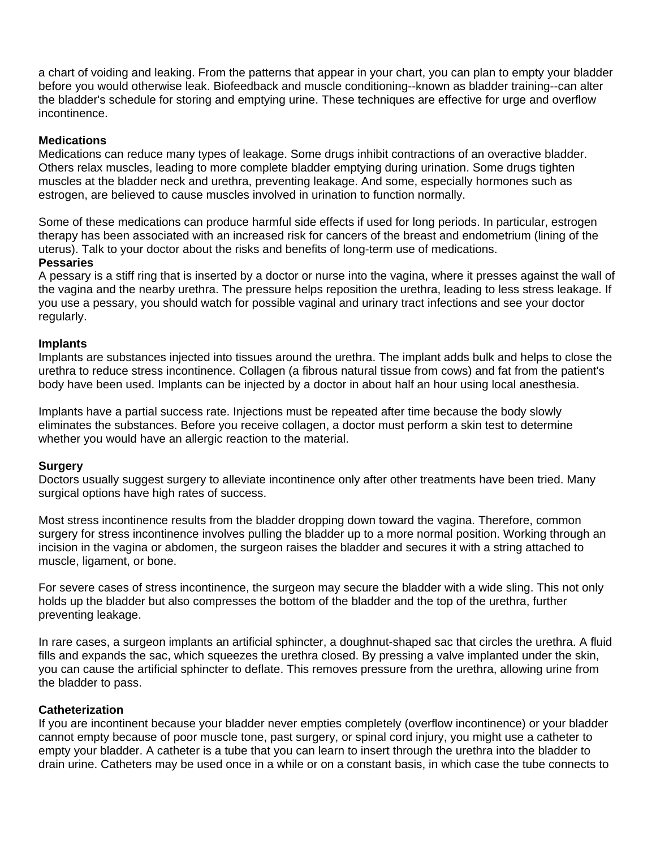a chart of voiding and leaking. From the patterns that appear in your chart, you can plan to empty your bladder before you would otherwise leak. Biofeedback and muscle conditioning--known as bladder training--can alter the bladder's schedule for storing and emptying urine. These techniques are effective for urge and overflow incontinence.

# **Medications**

Medications can reduce many types of leakage. Some drugs inhibit contractions of an overactive bladder. Others relax muscles, leading to more complete bladder emptying during urination. Some drugs tighten muscles at the bladder neck and urethra, preventing leakage. And some, especially hormones such as estrogen, are believed to cause muscles involved in urination to function normally.

Some of these medications can produce harmful side effects if used for long periods. In particular, estrogen therapy has been associated with an increased risk for cancers of the breast and endometrium (lining of the uterus). Talk to your doctor about the risks and benefits of long-term use of medications.

# **Pessaries**

A pessary is a stiff ring that is inserted by a doctor or nurse into the vagina, where it presses against the wall of the vagina and the nearby urethra. The pressure helps reposition the urethra, leading to less stress leakage. If you use a pessary, you should watch for possible vaginal and urinary tract infections and see your doctor regularly.

#### **Implants**

Implants are substances injected into tissues around the urethra. The implant adds bulk and helps to close the urethra to reduce stress incontinence. Collagen (a fibrous natural tissue from cows) and fat from the patient's body have been used. Implants can be injected by a doctor in about half an hour using local anesthesia.

Implants have a partial success rate. Injections must be repeated after time because the body slowly eliminates the substances. Before you receive collagen, a doctor must perform a skin test to determine whether you would have an allergic reaction to the material.

#### **Surgery**

Doctors usually suggest surgery to alleviate incontinence only after other treatments have been tried. Many surgical options have high rates of success.

Most stress incontinence results from the bladder dropping down toward the vagina. Therefore, common surgery for stress incontinence involves pulling the bladder up to a more normal position. Working through an incision in the vagina or abdomen, the surgeon raises the bladder and secures it with a string attached to muscle, ligament, or bone.

For severe cases of stress incontinence, the surgeon may secure the bladder with a wide sling. This not only holds up the bladder but also compresses the bottom of the bladder and the top of the urethra, further preventing leakage.

In rare cases, a surgeon implants an artificial sphincter, a doughnut-shaped sac that circles the urethra. A fluid fills and expands the sac, which squeezes the urethra closed. By pressing a valve implanted under the skin, you can cause the artificial sphincter to deflate. This removes pressure from the urethra, allowing urine from the bladder to pass.

#### **Catheterization**

If you are incontinent because your bladder never empties completely (overflow incontinence) or your bladder cannot empty because of poor muscle tone, past surgery, or spinal cord injury, you might use a catheter to empty your bladder. A catheter is a tube that you can learn to insert through the urethra into the bladder to drain urine. Catheters may be used once in a while or on a constant basis, in which case the tube connects to